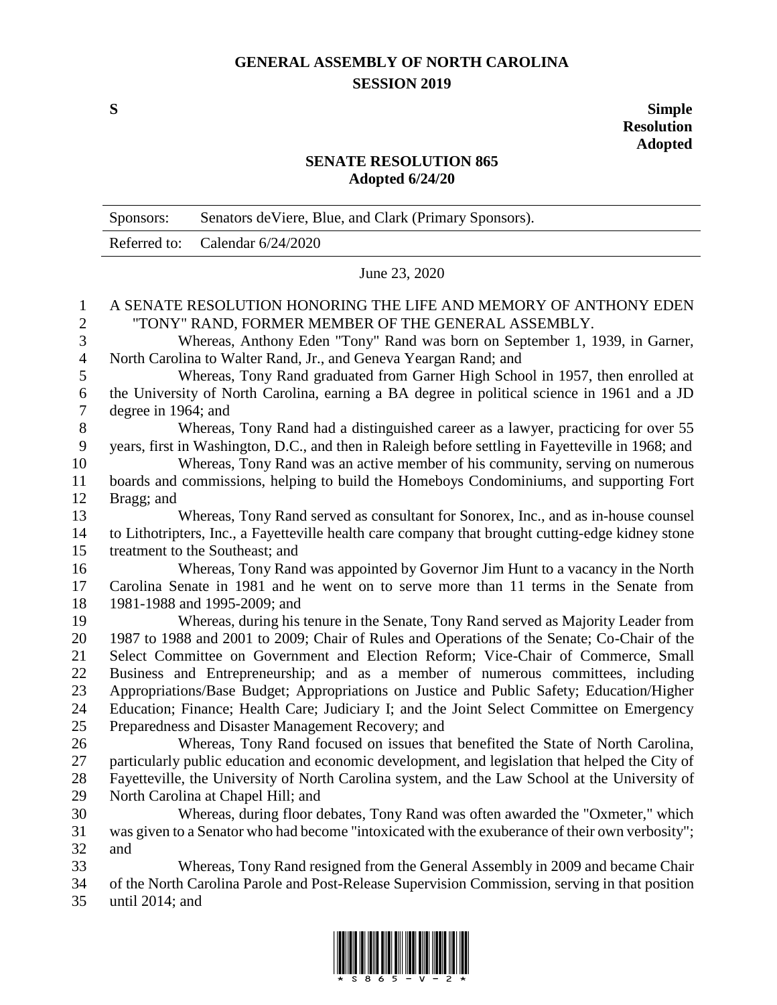## **GENERAL ASSEMBLY OF NORTH CAROLINA SESSION 2019**

**S Simple Resolution Adopted**

## **SENATE RESOLUTION 865 Adopted 6/24/20**

|                           | Sponsors:                                                                                                         | Senators de Viere, Blue, and Clark (Primary Sponsors).                                            |  |
|---------------------------|-------------------------------------------------------------------------------------------------------------------|---------------------------------------------------------------------------------------------------|--|
|                           | Referred to:                                                                                                      | Calendar 6/24/2020                                                                                |  |
|                           | June 23, 2020                                                                                                     |                                                                                                   |  |
| 1                         |                                                                                                                   | A SENATE RESOLUTION HONORING THE LIFE AND MEMORY OF ANTHONY EDEN                                  |  |
| $\mathbf{2}$              | "TONY" RAND, FORMER MEMBER OF THE GENERAL ASSEMBLY.                                                               |                                                                                                   |  |
| $\mathfrak{Z}$            | Whereas, Anthony Eden "Tony" Rand was born on September 1, 1939, in Garner,                                       |                                                                                                   |  |
| $\overline{4}$            | North Carolina to Walter Rand, Jr., and Geneva Yeargan Rand; and                                                  |                                                                                                   |  |
| 5                         | Whereas, Tony Rand graduated from Garner High School in 1957, then enrolled at                                    |                                                                                                   |  |
| 6                         | the University of North Carolina, earning a BA degree in political science in 1961 and a JD                       |                                                                                                   |  |
| $\tau$                    | degree in 1964; and<br>Whereas, Tony Rand had a distinguished career as a lawyer, practicing for over 55          |                                                                                                   |  |
| $8\,$<br>$\boldsymbol{9}$ | years, first in Washington, D.C., and then in Raleigh before settling in Fayetteville in 1968; and                |                                                                                                   |  |
| 10                        | Whereas, Tony Rand was an active member of his community, serving on numerous                                     |                                                                                                   |  |
| 11                        | boards and commissions, helping to build the Homeboys Condominiums, and supporting Fort                           |                                                                                                   |  |
| 12                        | Bragg; and                                                                                                        |                                                                                                   |  |
| 13                        |                                                                                                                   | Whereas, Tony Rand served as consultant for Sonorex, Inc., and as in-house counsel                |  |
| 14                        |                                                                                                                   | to Lithotripters, Inc., a Fayetteville health care company that brought cutting-edge kidney stone |  |
| 15                        | treatment to the Southeast; and                                                                                   |                                                                                                   |  |
| 16                        |                                                                                                                   | Whereas, Tony Rand was appointed by Governor Jim Hunt to a vacancy in the North                   |  |
| 17                        |                                                                                                                   | Carolina Senate in 1981 and he went on to serve more than 11 terms in the Senate from             |  |
| 18                        | 1981-1988 and 1995-2009; and                                                                                      |                                                                                                   |  |
| 19                        |                                                                                                                   | Whereas, during his tenure in the Senate, Tony Rand served as Majority Leader from                |  |
| 20                        |                                                                                                                   | 1987 to 1988 and 2001 to 2009; Chair of Rules and Operations of the Senate; Co-Chair of the       |  |
| 21                        | Select Committee on Government and Election Reform; Vice-Chair of Commerce, Small                                 |                                                                                                   |  |
| 22                        |                                                                                                                   | Business and Entrepreneurship; and as a member of numerous committees, including                  |  |
| 23                        |                                                                                                                   | Appropriations/Base Budget; Appropriations on Justice and Public Safety; Education/Higher         |  |
| 24                        |                                                                                                                   | Education; Finance; Health Care; Judiciary I; and the Joint Select Committee on Emergency         |  |
| 25                        |                                                                                                                   | Preparedness and Disaster Management Recovery; and                                                |  |
| 26                        |                                                                                                                   | Whereas, Tony Rand focused on issues that benefited the State of North Carolina,                  |  |
| 27                        |                                                                                                                   | particularly public education and economic development, and legislation that helped the City of   |  |
| 28                        | Fayetteville, the University of North Carolina system, and the Law School at the University of                    |                                                                                                   |  |
| 29                        | North Carolina at Chapel Hill; and                                                                                |                                                                                                   |  |
| 30                        |                                                                                                                   | Whereas, during floor debates, Tony Rand was often awarded the "Oxmeter," which                   |  |
| 31                        |                                                                                                                   | was given to a Senator who had become "intoxicated with the exuberance of their own verbosity";   |  |
| 32                        | and                                                                                                               |                                                                                                   |  |
| 33                        | Whereas, Tony Rand resigned from the General Assembly in 2009 and became Chair                                    |                                                                                                   |  |
| 34<br>35                  | of the North Carolina Parole and Post-Release Supervision Commission, serving in that position<br>until 2014; and |                                                                                                   |  |
|                           |                                                                                                                   |                                                                                                   |  |